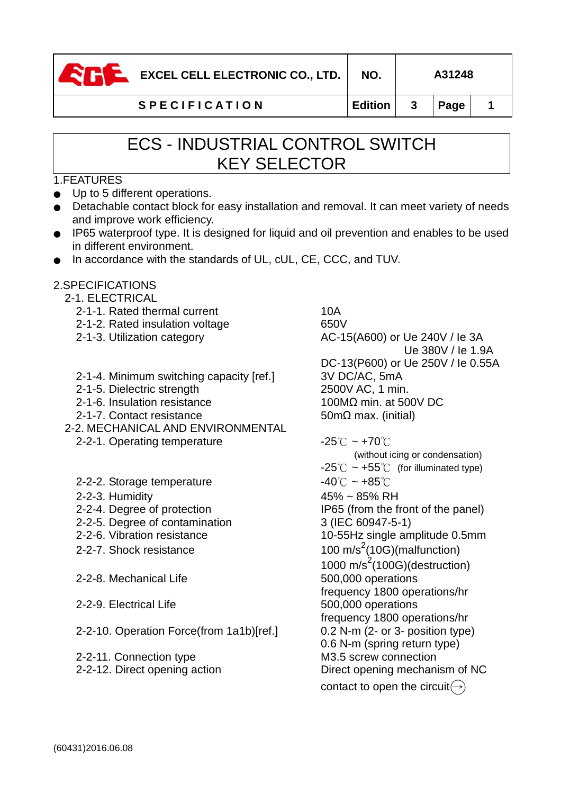**S P E C I F I C A T I O N Edition 3 Page 1**

# ECS - INDUSTRIAL CONTROL SWITCH KEY SELECTOR

## 1.FEATURES

- Up to 5 different operations.
- Detachable contact block for easy installation and removal. It can meet variety of needs and improve work efficiency.
- IP65 waterproof type. It is designed for liquid and oil prevention and enables to be used in different environment.
- In accordance with the standards of UL, cUL, CE, CCC, and TUV.

## 2.SPECIFICATIONS

- 2-1. ELECTRICAL
	- 2-1-1. Rated thermal current 10A
	- 2-1-2. Rated insulation voltage 650V
	-
	- 2-1-4. Minimum switching capacity [ref.] 3V DC/AC, 5mA
	- 2-1-5. Dielectric strength 2500V AC, 1 min.
	- 2-1-6. Insulation resistance  $100MΩ$  min. at 500V DC
	- 2-1-7. Contact resistance 50mΩ max. (initial)
- 2-2. MECHANICAL AND ENVIRONMENTAL 2-2-1. Operating temperature  $-25^{\circ}$  -  $+70^{\circ}$ 
	- 2-2-2. Storage temperature  $-40^{\circ}$ C ~  $+85^{\circ}$ C
	-
	-
	- 2-2-5. Degree of contamination 3 (IEC 60947-5-1)
	-
	- 2-2-7. Shock resistance
	- 2-2-8. Mechanical Life 500,000 operations
	- 2-2-9. Electrical Life 500,000 operations
	- 2-2-10. Operation Force(from 1a1b)[ref.] 0.2 N-m (2- or 3- position type)
	- 2-2-11. Connection type M3.5 screw connection
	-

2-1-3. Utilization category  $AC-15( A600)$  or Ue 240V / le 3A Ue 380V / Ie 1.9A DC-13(P600) or Ue 250V / Ie 0.55A

(without icing or condensation)  $-25^{\circ}$ C ~ +55 $^{\circ}$  (for illuminated type) 2-2-3. Humidity 45% ~ 85% RH 2-2-4. Degree of protection IP65 (from the front of the panel) 2-2-6. Vibration resistance 10-55Hz single amplitude 0.5mm 100 m/s<sup>2</sup>(10G)(malfunction)  $1000 \text{ m/s}^2 (100 \text{G})$ (destruction) frequency 1800 operations/hr frequency 1800 operations/hr 0.6 N-m (spring return type) 2-2-12. Direct opening action Direct opening mechanism of NC contact to open the circuit $\leftrightarrow$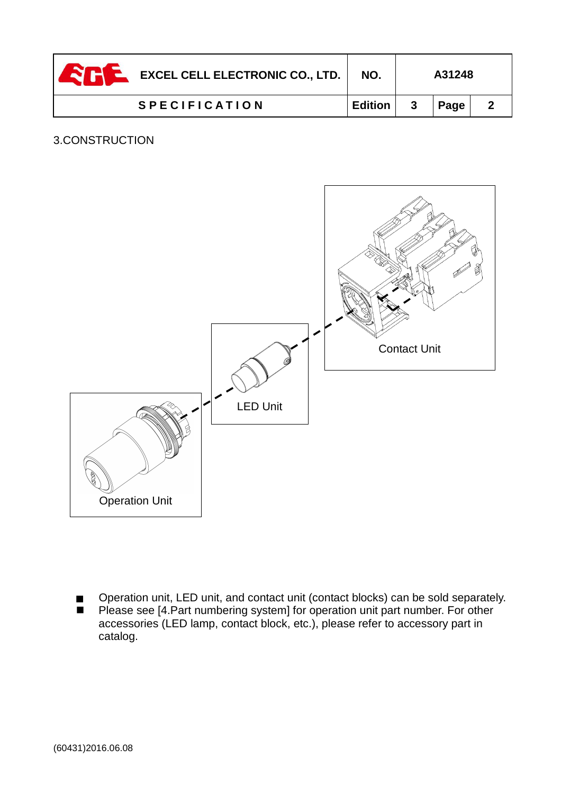| <b>EXCEL CELL ELECTRONIC CO., LTD.</b> | NO.            |   | A31248 |  |
|----------------------------------------|----------------|---|--------|--|
| <b>SPECIFICATION</b>                   | <b>Edition</b> | 3 | Page   |  |

#### 3.CONSTRUCTION



■ Operation unit, LED unit, and contact unit (contact blocks) can be sold separately. ■ Please see [4.Part numbering system] for operation unit part number. For other accessories (LED lamp, contact block, etc.), please refer to accessory part in catalog.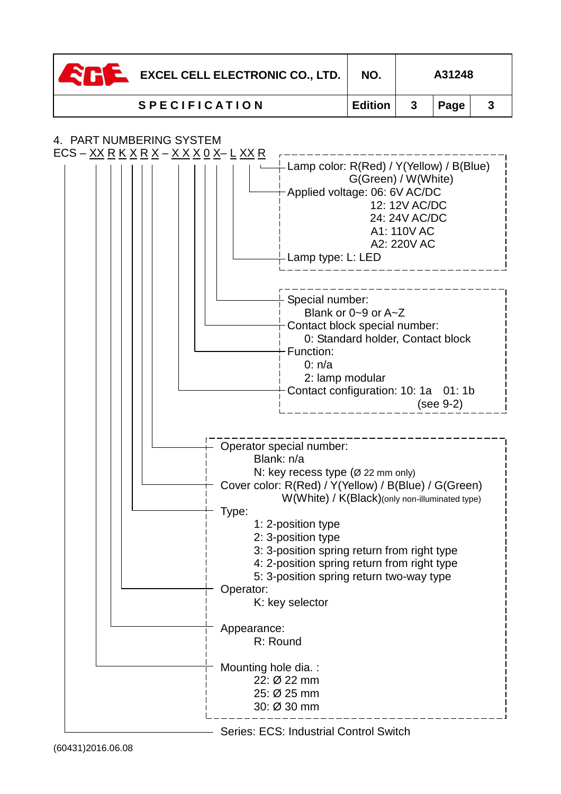| <b>EXCEL CELL ELECTRONIC CO., LTD.</b> | NO.     |              | A31248 |  |
|----------------------------------------|---------|--------------|--------|--|
| <b>SPECIFICATION</b>                   | Edition | $\mathbf{3}$ | Page   |  |

#### 4. PART NUMBERING SYSTEM

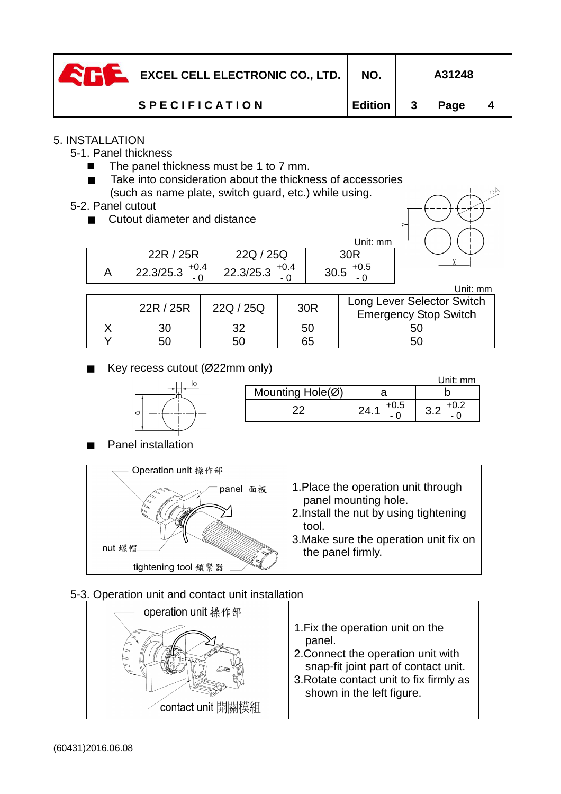| <b>EXCEL CELL ELECTRONIC CO., LTD.</b> | NO.            |              | A31248 |  |
|----------------------------------------|----------------|--------------|--------|--|
| <b>SPECIFICATION</b>                   | <b>Edition</b> | $\mathbf{3}$ | Page   |  |

#### 5. INSTALLATION

5-1. Panel thickness

- The panel thickness must be 1 to 7 mm.
- Take into consideration about the thickness of accessories (such as name plate, switch guard, etc.) while using.
- 5-2. Panel cutout
	- Cutout diameter and distance

|                          |                          | Unit: mm       |
|--------------------------|--------------------------|----------------|
| 22R / 25R                | 22Q / 25Q                | 30R            |
| 22.3/25.3 $^{+0.4}_{-0}$ | 22.3/25.3 $^{+0.4}_{-0}$ | 30.5 $^{+0.5}$ |

|  |           |           |                 | Unit: mm                                                   |
|--|-----------|-----------|-----------------|------------------------------------------------------------|
|  | 22R / 25R | 22Q / 25Q | 30 <sub>R</sub> | Long Lever Selector Switch<br><b>Emergency Stop Switch</b> |
|  | 30        |           | 50              |                                                            |
|  | 50        | 50        | 65              |                                                            |

Key recess cutout (Ø22mm only)



|   |                  |                                     | Jnit: mm         |
|---|------------------|-------------------------------------|------------------|
|   | Mounting Hole(Ø) |                                     |                  |
| O |                  | $+0.5$<br>$2\Delta$<br><u>. т. </u> | +∪.∠<br>J.Z<br>- |

Panel installation



### 5-3. Operation unit and contact unit installation

| operation unit 操作部 |                                                                                                                                                                                                  |
|--------------------|--------------------------------------------------------------------------------------------------------------------------------------------------------------------------------------------------|
| contact unit 開關模組  | 1. Fix the operation unit on the<br>panel.<br>2. Connect the operation unit with<br>snap-fit joint part of contact unit.<br>3. Rotate contact unit to fix firmly as<br>shown in the left figure. |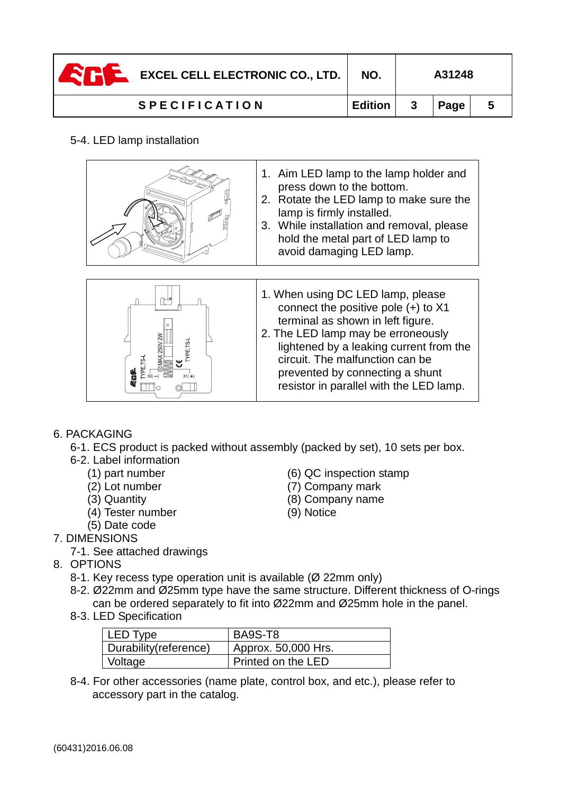| <b>EXCEL CELL ELECTRONIC CO., LTD.</b> | NO.     |              | A31248 |   |
|----------------------------------------|---------|--------------|--------|---|
| <b>SPECIFICATION</b>                   | Edition | $\mathbf{3}$ | Page   | 5 |

#### 5-4. LED lamp installation

|   | 1. Aim LED lamp to the lamp holder and<br>press down to the bottom.<br>2. Rotate the LED lamp to make sure the<br>lamp is firmly installed.<br>3. While installation and removal, please<br>hold the metal part of LED lamp to<br>avoid damaging LED lamp.                                                        |
|---|-------------------------------------------------------------------------------------------------------------------------------------------------------------------------------------------------------------------------------------------------------------------------------------------------------------------|
| న | 1. When using DC LED lamp, please<br>connect the positive pole $(+)$ to X1<br>terminal as shown in left figure.<br>2. The LED lamp may be erroneously<br>lightened by a leaking current from the<br>circuit. The malfunction can be<br>prevented by connecting a shunt<br>resistor in parallel with the LED lamp. |

#### 6. PACKAGING

6-1. ECS product is packed without assembly (packed by set), 10 sets per box.

- 6-2. Label information
	- (1) part number (6) QC inspection stamp
	- (2) Lot number (7) Company mark
	- (3) Quantity (8) Company name
	- (4) Tester number (9) Notice
	- (5) Date code
- 7. DIMENSIONS
	- 7-1. See attached drawings
- 8. OPTIONS
	- 8-1. Key recess type operation unit is available (Ø 22mm only)
	- 8-2. Ø22mm and Ø25mm type have the same structure. Different thickness of O-rings can be ordered separately to fit into Ø22mm and Ø25mm hole in the panel.
	- 8-3. LED Specification

| LED Type               | BA9S-T8               |
|------------------------|-----------------------|
| Durability (reference) | ' Approx. 50,000 Hrs. |
| Voltage                | Printed on the LED    |

8-4. For other accessories (name plate, control box, and etc.), please refer to accessory part in the catalog.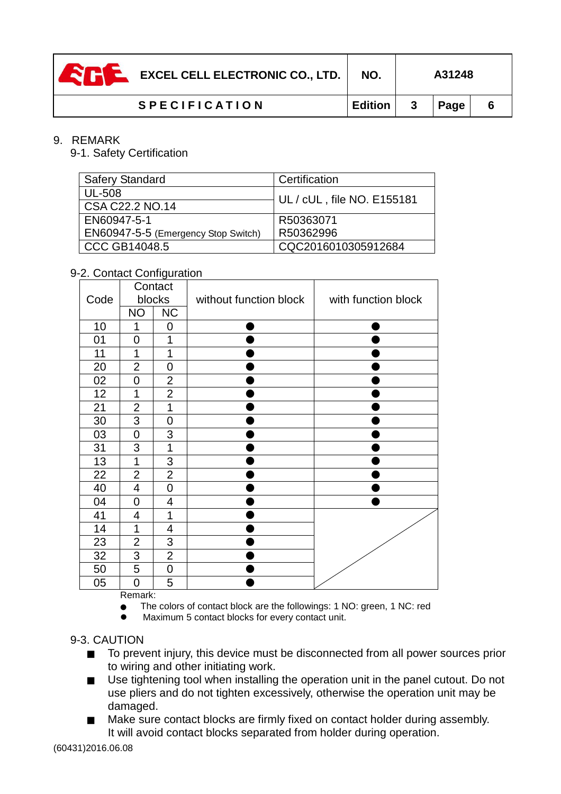| EXCEL CELL ELECTRONIC CO., LTD. |                      | NO.            | A31248 |      |  |
|---------------------------------|----------------------|----------------|--------|------|--|
|                                 | <b>SPECIFICATION</b> | <b>Edition</b> | -3     | Page |  |

#### 9. REMARK

9-1. Safety Certification

| <b>Safery Standard</b>              | Certification              |  |
|-------------------------------------|----------------------------|--|
| <b>UL-508</b>                       | UL / cUL, file NO. E155181 |  |
| CSA C22.2 NO.14                     |                            |  |
| EN60947-5-1                         | R50363071                  |  |
| EN60947-5-5 (Emergency Stop Switch) | R50362996                  |  |
| <b>CCC GB14048.5</b>                | CQC2016010305912684        |  |

#### 9-2. Contact Configuration

| Code |                | Contact<br>blocks | without function block | with function block |
|------|----------------|-------------------|------------------------|---------------------|
|      | <b>NO</b>      | <b>NC</b>         |                        |                     |
| 10   | 1              | $\mathbf 0$       |                        |                     |
| 01   | $\overline{0}$ | 1                 |                        |                     |
| 11   | 1              | 1                 |                        |                     |
| 20   | 2              | 0                 |                        |                     |
| 02   | 0              | $\overline{2}$    |                        |                     |
| 12   | 1              | $\overline{2}$    |                        |                     |
| 21   | $\overline{2}$ | 1                 |                        |                     |
| 30   | 3              | 0                 |                        |                     |
| 03   | $\overline{0}$ | 3                 |                        |                     |
| 31   | 3              | 1                 |                        |                     |
| 13   | 1              | 3                 |                        |                     |
| 22   | $\overline{2}$ | $\overline{2}$    |                        |                     |
| 40   | 4              | 0                 |                        |                     |
| 04   | 0              | 4                 |                        |                     |
| 41   | 4              | 1                 |                        |                     |
| 14   | 1              | 4                 |                        |                     |
| 23   | $\overline{2}$ | 3                 |                        |                     |
| 32   | 3              | $\overline{2}$    |                        |                     |
| 50   | 5              | 0                 |                        |                     |
| 05   | 0              | 5                 |                        |                     |

#### Remark:

- The colors of contact block are the followings: 1 NO: green, 1 NC: red
- $\bullet$ Maximum 5 contact blocks for every contact unit.

#### 9-3. CAUTION

- To prevent injury, this device must be disconnected from all power sources prior to wiring and other initiating work.
- Use tightening tool when installing the operation unit in the panel cutout. Do not use pliers and do not tighten excessively, otherwise the operation unit may be damaged.
- Make sure contact blocks are firmly fixed on contact holder during assembly. It will avoid contact blocks separated from holder during operation.